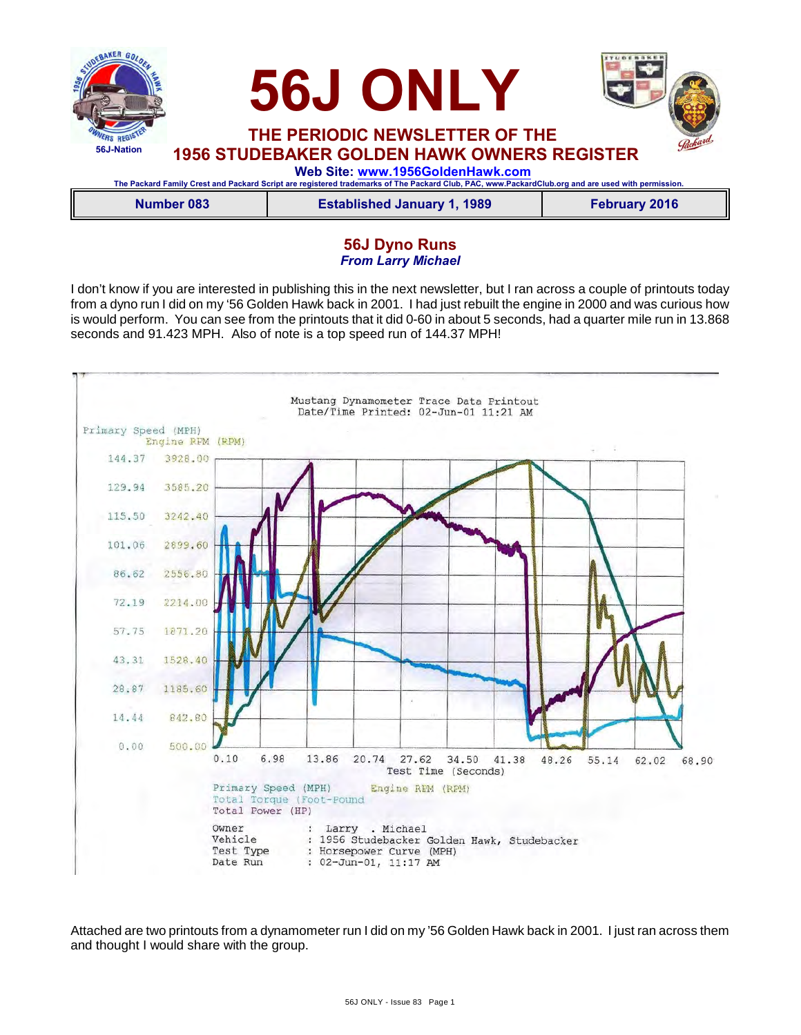

| Number 083 | <b>Established January 1, 1989</b> | <b>February 2016</b> |
|------------|------------------------------------|----------------------|

## **56J Dyno Runs** *From Larry Michael*

I don't know if you are interested in publishing this in the next newsletter, but I ran across a couple of printouts today from a dyno run I did on my '56 Golden Hawk back in 2001. I had just rebuilt the engine in 2000 and was curious how is would perform. You can see from the printouts that it did 0-60 in about 5 seconds, had a quarter mile run in 13.868 seconds and 91.423 MPH. Also of note is a top speed run of 144.37 MPH!



Attached are two printouts from a dynamometer run I did on my '56 Golden Hawk back in 2001. I just ran across them and thought I would share with the group.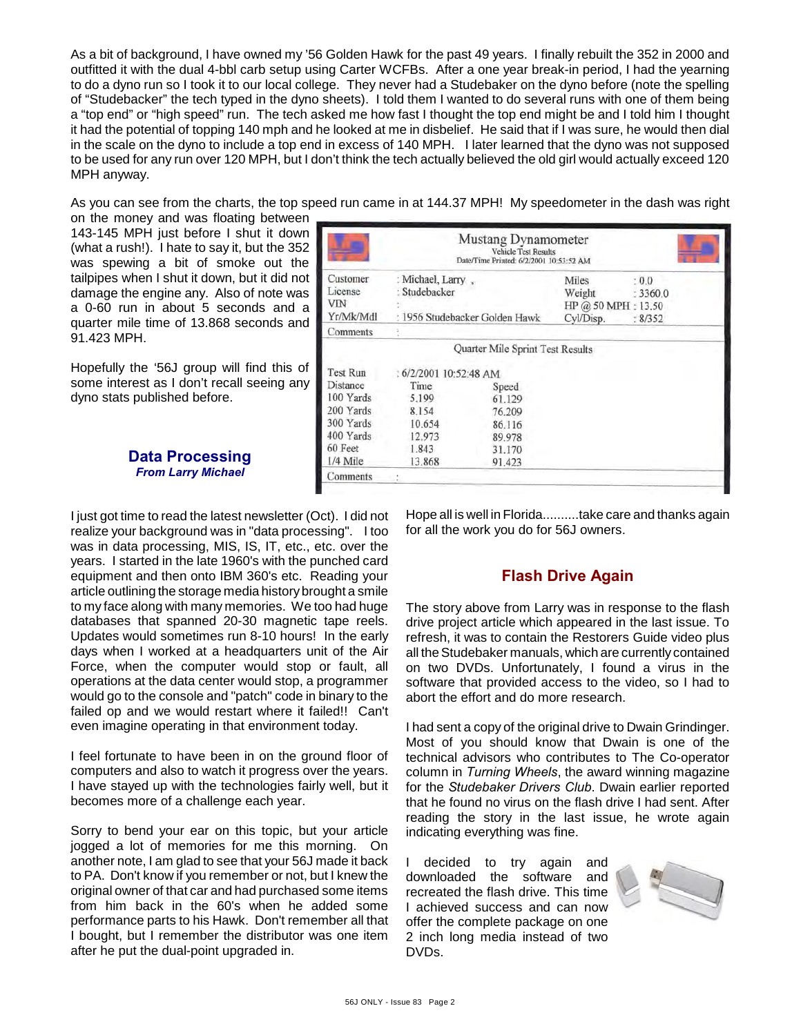As a bit of background, I have owned my '56 Golden Hawk for the past 49 years. I finally rebuilt the 352 in 2000 and outfitted it with the dual 4-bbl carb setup using Carter WCFBs. After a one year break-in period, I had the yearning to do a dyno run so I took it to our local college. They never had a Studebaker on the dyno before (note the spelling of "Studebacker" the tech typed in the dyno sheets). I told them I wanted to do several runs with one of them being a "top end" or "high speed" run. The tech asked me how fast I thought the top end might be and I told him I thought it had the potential of topping 140 mph and he looked at me in disbelief. He said that if I was sure, he would then dial in the scale on the dyno to include a top end in excess of 140 MPH. I later learned that the dyno was not supposed to be used for any run over 120 MPH, but I don't think the tech actually believed the old girl would actually exceed 120 MPH anyway.

As you can see from the charts, the top speed run came in at 144.37 MPH! My speedometer in the dash was right

on the money and was floating between 143-145 MPH just before I shut it down (what a rush!). I hate to say it, but the 352 was spewing a bit of smoke out the tailpipes when I shut it down, but it did not damage the engine any. Also of note was a 0-60 run in about 5 seconds and a quarter mile time of 13.868 seconds and 91.423 MPH.

Hopefully the '56J group will find this of some interest as I don't recall seeing any dyno stats published before.

### **Data Processing** *From Larry Michael*

Mustang Dynamometer Vehicle Test Results Date/Time Printed: 6/2/2001 10:53:52 AM Customer : Michael, Larry, Miles  $: 0.0$ License : Studebacker Weight  $: 3360.0$ VIN HP @ 50 MPH: 13.50 Yr/Mk/Mdl : 1956 Studebacker Golden Hawk Cyl/Disp.  $: 8/352$ Comments Quarter Mile Sprint Test Results Test Run : 6/2/2001 10:52:48 AM Distance Time Speed 100 Yards 5.199 61.129 200 Yards 8.154 76.209 300 Yards 10.654 86.116 400 Yards 12.973 89.978 60 Feet 1.843 31.170 1/4 Mile 13.868 91.423 Comments

I just got time to read the latest newsletter (Oct). I did not realize your background was in "data processing". I too was in data processing, MIS, IS, IT, etc., etc. over the years. I started in the late 1960's with the punched card equipment and then onto IBM 360's etc. Reading your article outlining the storage media history brought a smile to my face along with many memories. We too had huge databases that spanned 20-30 magnetic tape reels. Updates would sometimes run 8-10 hours! In the early days when I worked at a headquarters unit of the Air Force, when the computer would stop or fault, all operations at the data center would stop, a programmer would go to the console and "patch" code in binary to the failed op and we would restart where it failed!! Can't even imagine operating in that environment today.

I feel fortunate to have been in on the ground floor of computers and also to watch it progress over the years. I have stayed up with the technologies fairly well, but it becomes more of a challenge each year.

Sorry to bend your ear on this topic, but your article jogged a lot of memories for me this morning. On another note, I am glad to see that your 56J made it back to PA. Don't know if you remember or not, but I knew the original owner of that car and had purchased some items from him back in the 60's when he added some performance parts to his Hawk. Don't remember all that I bought, but I remember the distributor was one item after he put the dual-point upgraded in.

Hope all is well in Florida..........take care and thanks again for all the work you do for 56J owners.

## **Flash Drive Again**

The story above from Larry was in response to the flash drive project article which appeared in the last issue. To refresh, it was to contain the Restorers Guide video plus all the Studebaker manuals, which are currently contained on two DVDs. Unfortunately, I found a virus in the software that provided access to the video, so I had to abort the effort and do more research.

I had sent a copy of the original drive to Dwain Grindinger. Most of you should know that Dwain is one of the technical advisors who contributes to The Co-operator column in *Turning Wheels*, the award winning magazine for the *Studebaker Drivers Club*. Dwain earlier reported that he found no virus on the flash drive I had sent. After reading the story in the last issue, he wrote again indicating everything was fine.

I decided to try again and downloaded the software and recreated the flash drive. This time I achieved success and can now offer the complete package on one 2 inch long media instead of two DVDs.

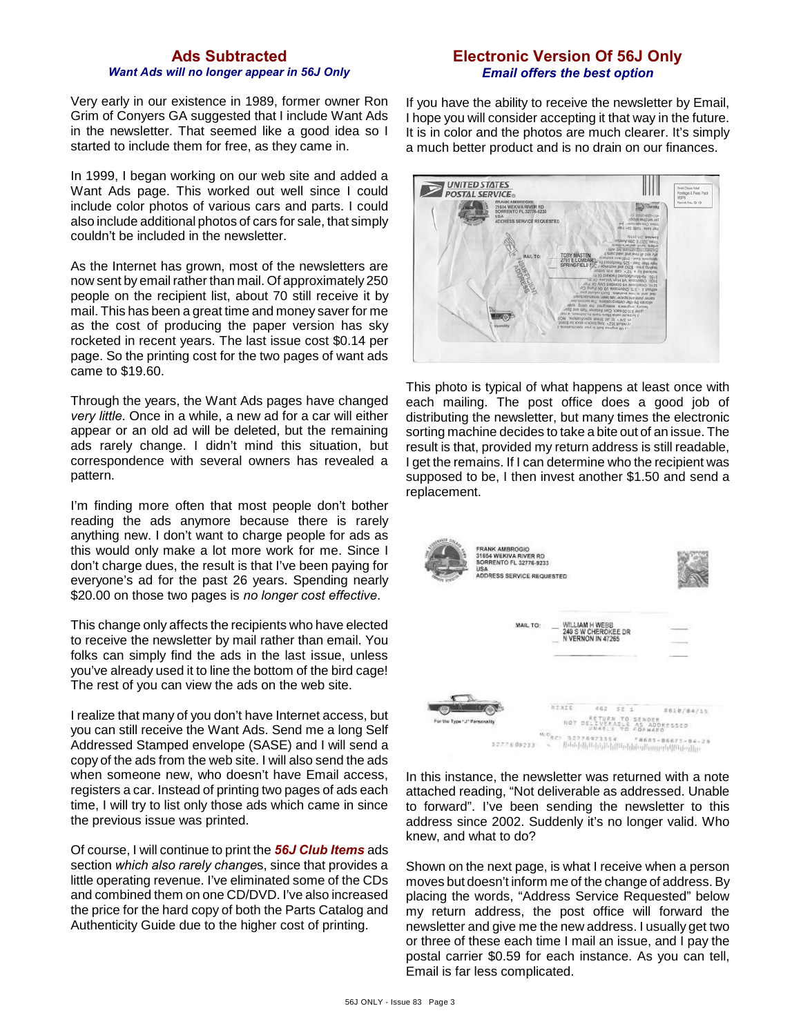### **Ads Subtracted** *Want Ads will no longer appear in 56J Only*

Very early in our existence in 1989, former owner Ron Grim of Conyers GA suggested that I include Want Ads in the newsletter. That seemed like a good idea so I started to include them for free, as they came in.

In 1999, I began working on our web site and added a Want Ads page. This worked out well since I could include color photos of various cars and parts. I could also include additional photos of cars for sale, that simply couldn't be included in the newsletter.

As the Internet has grown, most of the newsletters are now sent by email rather than mail. Of approximately 250 people on the recipient list, about 70 still receive it by mail. This has been a great time and money saver for me as the cost of producing the paper version has sky rocketed in recent years. The last issue cost \$0.14 per page. So the printing cost for the two pages of want ads came to \$19.60.

Through the years, the Want Ads pages have changed *very little*. Once in a while, a new ad for a car will either appear or an old ad will be deleted, but the remaining ads rarely change. I didn't mind this situation, but correspondence with several owners has revealed a pattern.

I'm finding more often that most people don't bother reading the ads anymore because there is rarely anything new. I don't want to charge people for ads as this would only make a lot more work for me. Since I don't charge dues, the result is that I've been paying for everyone's ad for the past 26 years. Spending nearly \$20.00 on those two pages is *no longer cost effective*.

This change only affects the recipients who have elected to receive the newsletter by mail rather than email. You folks can simply find the ads in the last issue, unless you've already used it to line the bottom of the bird cage! The rest of you can view the ads on the web site.

I realize that many of you don't have Internet access, but you can still receive the Want Ads. Send me a long Self Addressed Stamped envelope (SASE) and I will send a copy of the ads from the web site. I will also send the ads when someone new, who doesn't have Email access, registers a car. Instead of printing two pages of ads each time, I will try to list only those ads which came in since the previous issue was printed.

Of course, I will continue to print the *56J Club Items* ads section *which also rarely change*s, since that provides a little operating revenue. I've eliminated some of the CDs and combined them on one CD/DVD. I've also increased the price for the hard copy of both the Parts Catalog and Authenticity Guide due to the higher cost of printing.

## **Electronic Version Of 56J Only** *Email offers the best option*

If you have the ability to receive the newsletter by Email, I hope you will consider accepting it that way in the future. It is in color and the photos are much clearer. It's simply a much better product and is no drain on our finances.



This photo is typical of what happens at least once with each mailing. The post office does a good job of distributing the newsletter, but many times the electronic sorting machine decides to take a bite out of an issue. The result is that, provided my return address is still readable, I get the remains. If I can determine who the recipient was supposed to be, I then invest another \$1.50 and send a replacement.



In this instance, the newsletter was returned with a note attached reading, "Not deliverable as addressed. Unable to forward". I've been sending the newsletter to this address since 2002. Suddenly it's no longer valid. Who knew, and what to do?

Shown on the next page, is what I receive when a person moves but doesn't inform me of the change of address. By placing the words, "Address Service Requested" below my return address, the post office will forward the newsletter and give me the new address. I usually get two or three of these each time I mail an issue, and I pay the postal carrier \$0.59 for each instance. As you can tell, Email is far less complicated.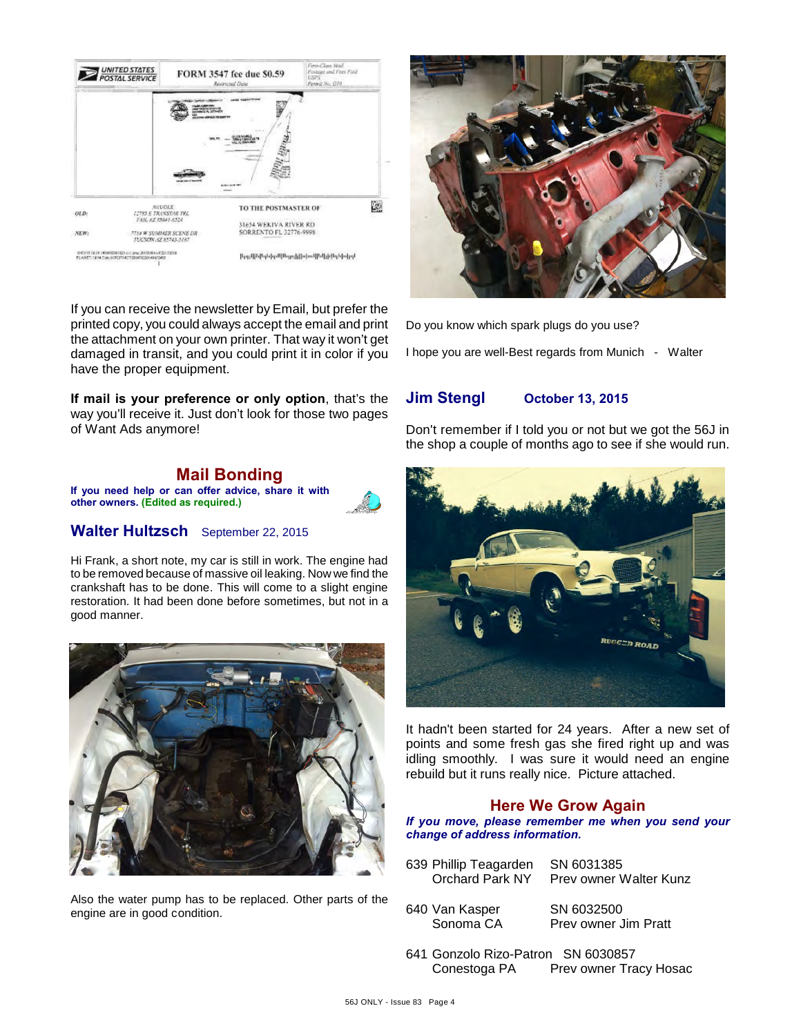

If you can receive the newsletter by Email, but prefer the printed copy, you could always accept the email and print the attachment on your own printer. That way it won't get damaged in transit, and you could print it in color if you have the proper equipment.

**If mail is your preference or only option**, that's the way you'll receive it. Just don't look for those two pages of Want Ads anymore!



### **Walter Hultzsch** September 22, 2015

Hi Frank, a short note, my car is still in work. The engine had to be removed because of massive oil leaking. Now we find the crankshaft has to be done. This will come to a slight engine restoration. It had been done before sometimes, but not in a good manner.



Also the water pump has to be replaced. Other parts of the engine are in good condition.



Do you know which spark plugs do you use?

I hope you are well-Best regards from Munich - Walter

## **Jim Stengl October 13, 2015**

Don't remember if I told you or not but we got the 56J in the shop a couple of months ago to see if she would run.



It hadn't been started for 24 years. After a new set of points and some fresh gas she fired right up and was idling smoothly. I was sure it would need an engine rebuild but it runs really nice. Picture attached.

### **Here We Grow Again**

*If you move, please remember me when you send your change of address information.*

- 639 Phillip Teagarden SN 6031385 Orchard Park NY Prev owner Walter Kunz
- 640 Van Kasper SN 6032500

Sonoma CA Prev owner Jim Pratt

641 Gonzolo Rizo-Patron SN 6030857 Conestoga PA Prev owner Tracy Hosac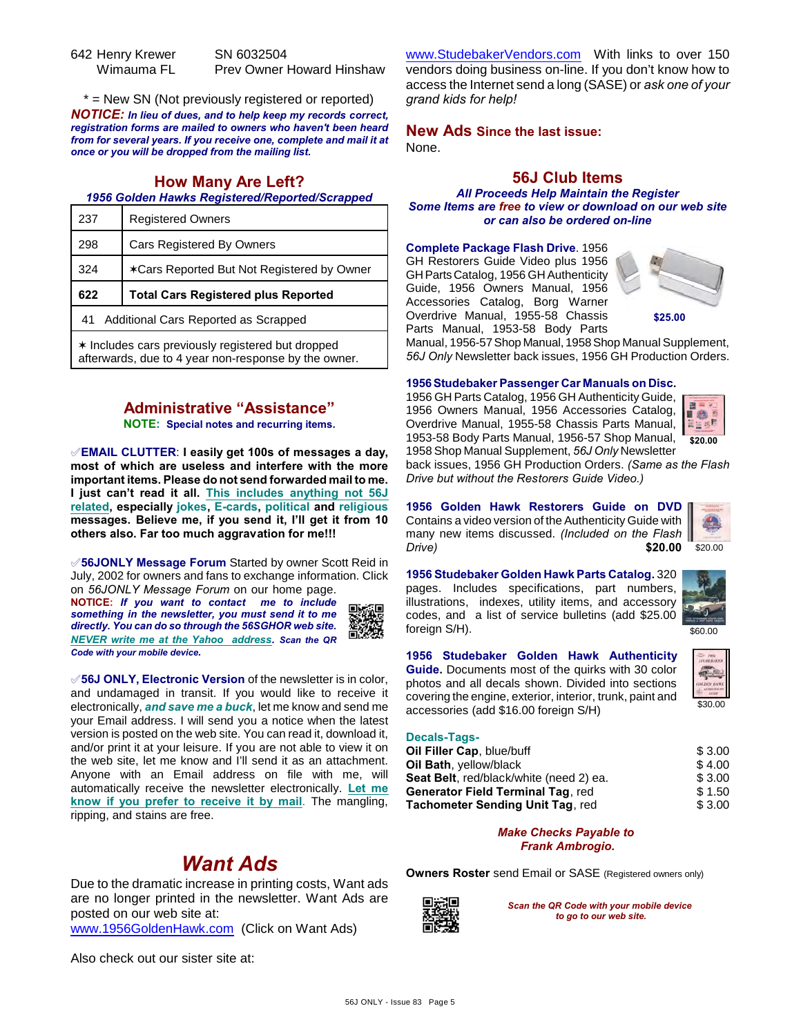| 642 Henry Krewer | SN 6032504                       |
|------------------|----------------------------------|
| Wimauma FL       | <b>Prev Owner Howard Hinshaw</b> |

\* = New SN (Not previously registered or reported) *NOTICE: In lieu of dues, and to help keep my records correct, registration forms are mailed to owners who haven't been heard from for several years. If you receive one, complete and mail it at once or you will be dropped from the mailing list.*

## **How Many Are Left?**

### *1956 Golden Hawks Registered/Reported/Scrapped*

| 237 | <b>Registered Owners</b>                   |  |
|-----|--------------------------------------------|--|
| 298 | <b>Cars Registered By Owners</b>           |  |
| 324 | *Cars Reported But Not Registered by Owner |  |
|     | <b>Total Cars Registered plus Reported</b> |  |
| 622 |                                            |  |
| 41  | Additional Cars Reported as Scrapped       |  |

**Administrative "Assistance"**

**NOTE: Special notes and recurring items.**

°**EMAIL CLUTTER**: **I easily get 100s of messages a day, most of which are useless and interfere with the more important items. Please do not send forwarded mail to me. I just can't read it all. This includes anything not 56J related, especially jokes, E-cards, political and religious messages. Believe me, if you send it, I'll get it from 10 others also. Far too much aggravation for me!!!**

°**56JONLY Message Forum** Started by owner Scott Reid in July, 2002 for owners and fans to exchange information. Click on *56JONLY Message Forum* on our home page. **NOTICE:** *If you want to contact me to include something in the newsletter, you must send it to me directly. You can do so through the 56SGHOR web site. NEVER write me at the Yahoo address. Scan the QR Code with your mobile device.* 

°**56J ONLY, Electronic Version** of the newsletter is in color, and undamaged in transit. If you would like to receive it electronically, *and save me a buck*, let me know and send me your Email address. I will send you a notice when the latest version is posted on the web site. You can read it, download it, and/or print it at your leisure. If you are not able to view it on the web site, let me know and I'll send it as an attachment. Anyone with an Email address on file with me, will automatically receive the newsletter electronically. **Let me know if you prefer to receive it by mail**. The mangling, ripping, and stains are free.

# *Want Ads*

Due to the dramatic increase in printing costs, Want ads are no longer printed in the newsletter. Want Ads are posted on our web site at:

[www.1956GoldenHawk.com](http://www.1956GoldenHawk.com) (Click on Want Ads)

[www.StudebakerVendors.com](http://www.StudebakerVendors.com) With links to over 150 vendors doing business on-line. If you don't know how to access the Internet send a long (SASE) or *ask one of your grand kids for help!*

**New Ads Since the last issue:** None.

# **56J Club Items**

*All Proceeds Help Maintain the Register Some Items are free to view or download on our web site or can also be ordered on-line*

**Complete Package Flash Drive**. 1956 GH Restorers Guide Video plus 1956 GH Parts Catalog, 1956 GH Authenticity Guide, 1956 Owners Manual, 1956 Accessories Catalog, Borg Warner Overdrive Manual, 1955-58 Chassis Parts Manual, 1953-58 Body Parts



**\$25.00**

Manual, 1956-57 Shop Manual, 1958 Shop Manual Supplement, *56J Only* Newsletter back issues, 1956 GH Production Orders.

#### **1956 Studebaker Passenger Car Manuals on Disc.**

1956 GH Parts Catalog, 1956 GH Authenticity Guide, 1956 Owners Manual, 1956 Accessories Catalog, Overdrive Manual, 1955-58 Chassis Parts Manual, 1953-58 Body Parts Manual, 1956-57 Shop Manual, 1958 Shop Manual Supplement, *56J Only* Newsletter



back issues, 1956 GH Production Orders. *(Same as the Flash Drive but without the Restorers Guide Video.)*

**1956 Golden Hawk Restorers Guide on DVD** Contains a video version of the Authenticity Guide with many new items discussed. *(Included on the Flash Drive)* **\$20.00**

**1956 Studebaker Golden Hawk Parts Catalog.** 320 pages. Includes specifications, part numbers, illustrations, indexes, utility items, and accessory codes, and a list of service bulletins (add \$25.00 foreign S/H).



\$20.00

**1956 Studebaker Golden Hawk Authenticity Guide.** Documents most of the quirks with 30 color photos and all decals shown. Divided into sections covering the engine, exterior, interior, trunk, paint and accessories (add \$16.00 foreign S/H)



#### **Decals-Tags-**

| Oil Filler Cap, blue/buff                      | \$3.00 |
|------------------------------------------------|--------|
| Oil Bath, yellow/black                         | \$4.00 |
| <b>Seat Belt, red/black/white (need 2) ea.</b> | \$3.00 |
| <b>Generator Field Terminal Tag. red</b>       | \$1.50 |
| Tachometer Sending Unit Tag, red               | \$3.00 |

#### *Make Checks Payable to Frank Ambrogio.*

**Owners Roster** send Email or SASE (Registered owners only)



*Scan the QR Code with your mobile device to go to our web site.*

Also check out our sister site at: